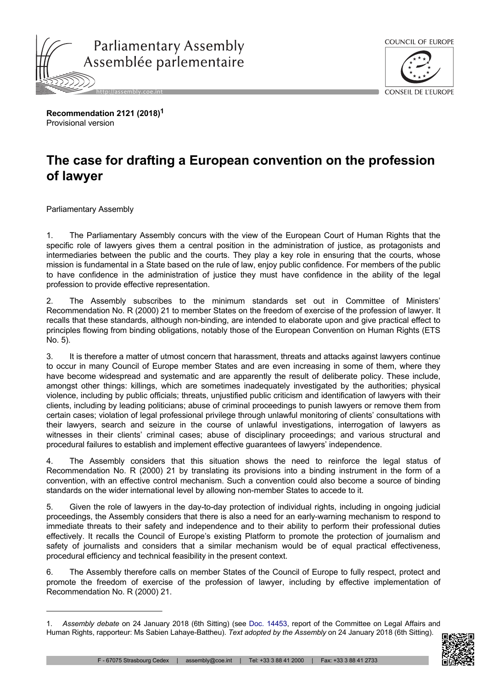



**Recommendation 2121 (2018)<sup>1</sup>** Provisional version

## **The case for drafting a European convention on the profession of lawyer**

Parliamentary Assembly

1. The Parliamentary Assembly concurs with the view of the European Court of Human Rights that the specific role of lawyers gives them a central position in the administration of justice, as protagonists and intermediaries between the public and the courts. They play a key role in ensuring that the courts, whose mission is fundamental in a State based on the rule of law, enjoy public confidence. For members of the public to have confidence in the administration of justice they must have confidence in the ability of the legal profession to provide effective representation.

2. The Assembly subscribes to the minimum standards set out in Committee of Ministers' Recommendation No. R (2000) 21 to member States on the freedom of exercise of the profession of lawyer. It recalls that these standards, although non-binding, are intended to elaborate upon and give practical effect to principles flowing from binding obligations, notably those of the European Convention on Human Rights (ETS No. 5).

3. It is therefore a matter of utmost concern that harassment, threats and attacks against lawyers continue to occur in many Council of Europe member States and are even increasing in some of them, where they have become widespread and systematic and are apparently the result of deliberate policy. These include, amongst other things: killings, which are sometimes inadequately investigated by the authorities; physical violence, including by public officials; threats, unjustified public criticism and identification of lawyers with their clients, including by leading politicians; abuse of criminal proceedings to punish lawyers or remove them from certain cases; violation of legal professional privilege through unlawful monitoring of clients' consultations with their lawyers, search and seizure in the course of unlawful investigations, interrogation of lawyers as witnesses in their clients' criminal cases; abuse of disciplinary proceedings; and various structural and procedural failures to establish and implement effective guarantees of lawyers' independence.

4. The Assembly considers that this situation shows the need to reinforce the legal status of Recommendation No. R (2000) 21 by translating its provisions into a binding instrument in the form of a convention, with an effective control mechanism. Such a convention could also become a source of binding standards on the wider international level by allowing non-member States to accede to it.

5. Given the role of lawyers in the day-to-day protection of individual rights, including in ongoing judicial proceedings, the Assembly considers that there is also a need for an early-warning mechanism to respond to immediate threats to their safety and independence and to their ability to perform their professional duties effectively. It recalls the Council of Europe's existing Platform to promote the protection of journalism and safety of journalists and considers that a similar mechanism would be of equal practical effectiveness, procedural efficiency and technical feasibility in the present context.

6. The Assembly therefore calls on member States of the Council of Europe to fully respect, protect and promote the freedom of exercise of the profession of lawyer, including by effective implementation of Recommendation No. R (2000) 21.

<sup>1.</sup> *Assembly debate* on 24 January 2018 (6th Sitting) (see Doc. [14453](http://assembly.coe.int/nw/xml/XRef/Xref-DocDetails-en.asp?FileId=24296), report of the Committee on Legal Affairs and Human Rights, rapporteur: Ms Sabien Lahaye-Battheu). *Text adopted by the Assembly* on 24 January 2018 (6th Sitting).